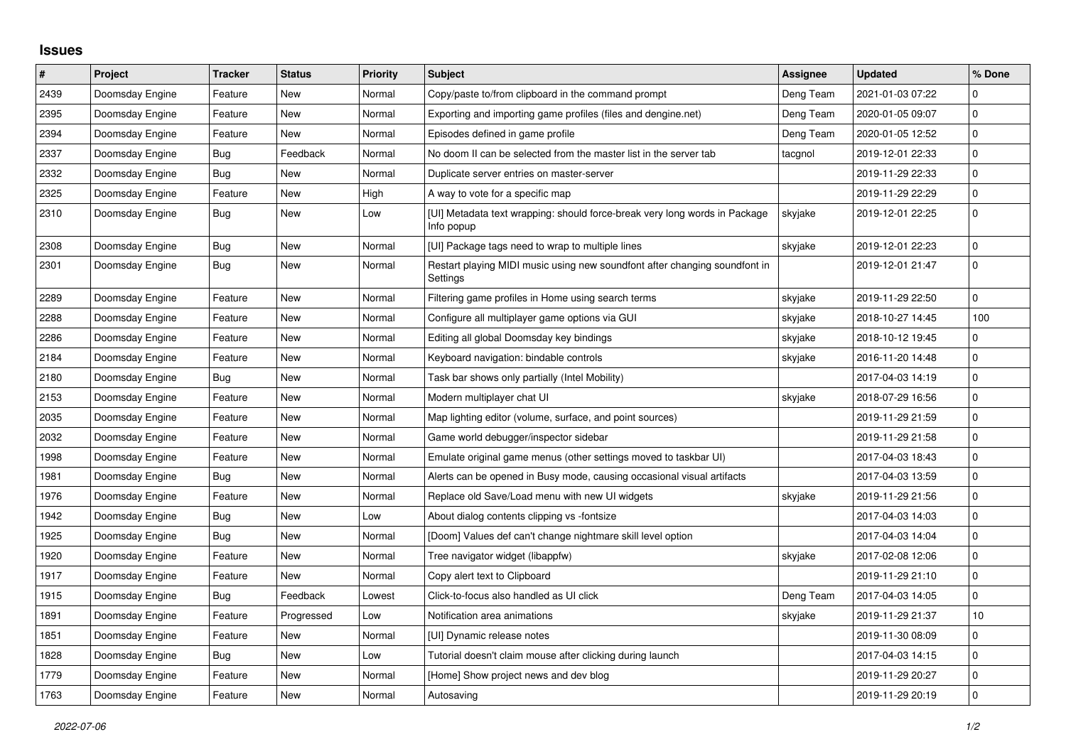## **Issues**

| $\pmb{\#}$ | Project         | <b>Tracker</b> | <b>Status</b> | <b>Priority</b> | <b>Subject</b>                                                                           | <b>Assignee</b> | <b>Updated</b>   | % Done              |
|------------|-----------------|----------------|---------------|-----------------|------------------------------------------------------------------------------------------|-----------------|------------------|---------------------|
| 2439       | Doomsday Engine | Feature        | <b>New</b>    | Normal          | Copy/paste to/from clipboard in the command prompt                                       | Deng Team       | 2021-01-03 07:22 | $\mathbf 0$         |
| 2395       | Doomsday Engine | Feature        | New           | Normal          | Exporting and importing game profiles (files and dengine.net)                            | Deng Team       | 2020-01-05 09:07 | $\pmb{0}$           |
| 2394       | Doomsday Engine | Feature        | <b>New</b>    | Normal          | Episodes defined in game profile                                                         | Deng Team       | 2020-01-05 12:52 | $\mathbf 0$         |
| 2337       | Doomsday Engine | Bug            | Feedback      | Normal          | No doom II can be selected from the master list in the server tab                        | tacgnol         | 2019-12-01 22:33 | $\mathsf{O}\xspace$ |
| 2332       | Doomsday Engine | Bug            | New           | Normal          | Duplicate server entries on master-server                                                |                 | 2019-11-29 22:33 | $\overline{0}$      |
| 2325       | Doomsday Engine | Feature        | <b>New</b>    | High            | A way to vote for a specific map                                                         |                 | 2019-11-29 22:29 | $\mathsf{O}\xspace$ |
| 2310       | Doomsday Engine | Bug            | <b>New</b>    | Low             | [UI] Metadata text wrapping: should force-break very long words in Package<br>Info popup | skyjake         | 2019-12-01 22:25 | $\mathbf 0$         |
| 2308       | Doomsday Engine | <b>Bug</b>     | <b>New</b>    | Normal          | [UI] Package tags need to wrap to multiple lines                                         | skyjake         | 2019-12-01 22:23 | $\mathsf{O}\xspace$ |
| 2301       | Doomsday Engine | Bug            | <b>New</b>    | Normal          | Restart playing MIDI music using new soundfont after changing soundfont in<br>Settings   |                 | 2019-12-01 21:47 | $\overline{0}$      |
| 2289       | Doomsday Engine | Feature        | <b>New</b>    | Normal          | Filtering game profiles in Home using search terms                                       | skyjake         | 2019-11-29 22:50 | 0                   |
| 2288       | Doomsday Engine | Feature        | <b>New</b>    | Normal          | Configure all multiplayer game options via GUI                                           | skyjake         | 2018-10-27 14:45 | 100                 |
| 2286       | Doomsday Engine | Feature        | <b>New</b>    | Normal          | Editing all global Doomsday key bindings                                                 | skyjake         | 2018-10-12 19:45 | 0                   |
| 2184       | Doomsday Engine | Feature        | <b>New</b>    | Normal          | Keyboard navigation: bindable controls                                                   | skyjake         | 2016-11-20 14:48 | $\mathbf 0$         |
| 2180       | Doomsday Engine | <b>Bug</b>     | <b>New</b>    | Normal          | Task bar shows only partially (Intel Mobility)                                           |                 | 2017-04-03 14:19 | $\mathbf{0}$        |
| 2153       | Doomsday Engine | Feature        | <b>New</b>    | Normal          | Modern multiplayer chat UI                                                               | skyjake         | 2018-07-29 16:56 | $\mathbf{0}$        |
| 2035       | Doomsday Engine | Feature        | <b>New</b>    | Normal          | Map lighting editor (volume, surface, and point sources)                                 |                 | 2019-11-29 21:59 | $\mathbf 0$         |
| 2032       | Doomsday Engine | Feature        | <b>New</b>    | Normal          | Game world debugger/inspector sidebar                                                    |                 | 2019-11-29 21:58 | $\mathbf{0}$        |
| 1998       | Doomsday Engine | Feature        | <b>New</b>    | Normal          | Emulate original game menus (other settings moved to taskbar UI)                         |                 | 2017-04-03 18:43 | $\mathbf{0}$        |
| 1981       | Doomsday Engine | Bug            | <b>New</b>    | Normal          | Alerts can be opened in Busy mode, causing occasional visual artifacts                   |                 | 2017-04-03 13:59 | $\overline{0}$      |
| 1976       | Doomsday Engine | Feature        | <b>New</b>    | Normal          | Replace old Save/Load menu with new UI widgets                                           | skyjake         | 2019-11-29 21:56 | $\mathbf{0}$        |
| 1942       | Doomsday Engine | Bug            | New           | Low             | About dialog contents clipping vs -fontsize                                              |                 | 2017-04-03 14:03 | $\mathbf{0}$        |
| 1925       | Doomsday Engine | Bug            | <b>New</b>    | Normal          | [Doom] Values def can't change nightmare skill level option                              |                 | 2017-04-03 14:04 | $\mathbf{0}$        |
| 1920       | Doomsday Engine | Feature        | <b>New</b>    | Normal          | Tree navigator widget (libappfw)                                                         | skyjake         | 2017-02-08 12:06 | $\mathbf{0}$        |
| 1917       | Doomsday Engine | Feature        | New           | Normal          | Copy alert text to Clipboard                                                             |                 | 2019-11-29 21:10 | $\mathbf{0}$        |
| 1915       | Doomsday Engine | <b>Bug</b>     | Feedback      | Lowest          | Click-to-focus also handled as UI click                                                  | Deng Team       | 2017-04-03 14:05 | $\mathbf{0}$        |
| 1891       | Doomsday Engine | Feature        | Progressed    | Low             | Notification area animations                                                             | skyjake         | 2019-11-29 21:37 | 10                  |
| 1851       | Doomsday Engine | Feature        | New           | Normal          | [UI] Dynamic release notes                                                               |                 | 2019-11-30 08:09 | $\mathbf 0$         |
| 1828       | Doomsday Engine | <b>Bug</b>     | <b>New</b>    | Low             | Tutorial doesn't claim mouse after clicking during launch                                |                 | 2017-04-03 14:15 | $\mathbf 0$         |
| 1779       | Doomsday Engine | Feature        | <b>New</b>    | Normal          | [Home] Show project news and dev blog                                                    |                 | 2019-11-29 20:27 | $\mathsf{O}\xspace$ |
| 1763       | Doomsday Engine | Feature        | New           | Normal          | Autosaving                                                                               |                 | 2019-11-29 20:19 | $\pmb{0}$           |